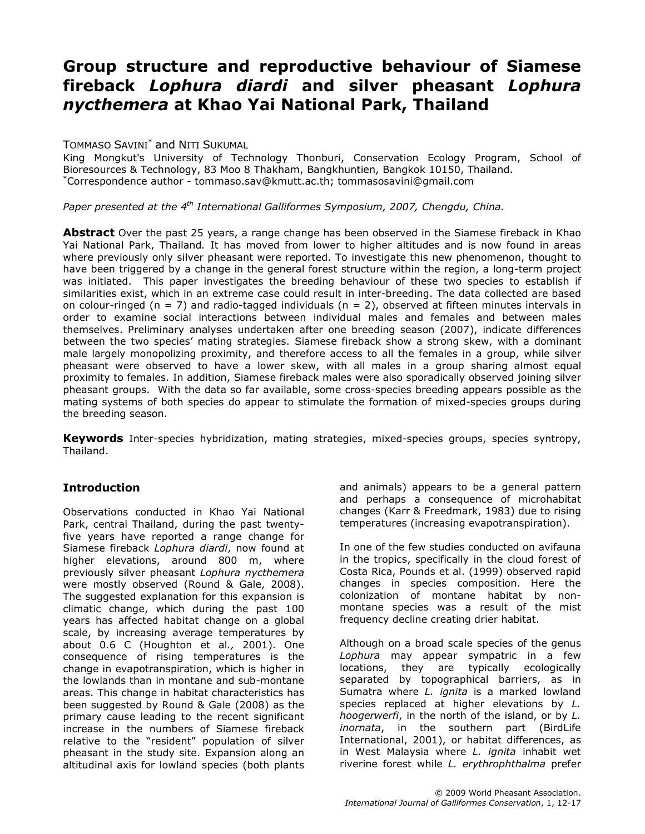# Group structure and reproductive behaviour of Siamese fireback Lophura diardi and silver pheasant Lophura nycthemera at Khao Yai National Park, Thailand

#### TOMMASO SAVINI\* and NITI SUKUMAL

King Mongkut's University of Technology Thonburi, Conservation Ecology Program, School of Bioresources & Technology, 83 Moo 8 Thakham, Bangkhuntien, Bangkok 10150, Thailand. \*Correspondence author - tommaso.sav@kmutt.ac.th; tommasosavini@gmail.com

Paper presented at the  $4^{th}$  International Galliformes Symposium, 2007, Chengdu, China.

Abstract Over the past 25 years, a range change has been observed in the Siamese fireback in Khao Yai National Park, Thailand. It has moved from lower to higher altitudes and is now found in areas where previously only silver pheasant were reported. To investigate this new phenomenon, thought to have been triggered by a change in the general forest structure within the region, a long-term project was initiated. This paper investigates the breeding behaviour of these two species to establish if similarities exist, which in an extreme case could result in inter-breeding. The data collected are based on colour-ringed ( $n = 7$ ) and radio-tagged individuals ( $n = 2$ ), observed at fifteen minutes intervals in order to examine social interactions between individual males and females and between males themselves. Preliminary analyses undertaken after one breeding season (2007), indicate differences between the two species' mating strategies. Siamese fireback show a strong skew, with a dominant male largely monopolizing proximity, and therefore access to all the females in a group, while silver pheasant were observed to have a lower skew, with all males in a group sharing almost equal proximity to females. In addition, Siamese fireback males were also sporadically observed joining silver pheasant groups. With the data so far available, some cross-species breeding appears possible as the mating systems of both species do appear to stimulate the formation of mixed-species groups during the breeding season.

Keywords Inter-species hybridization, mating strategies, mixed-species groups, species syntropy, Thailand.

# **Introduction**

Observations conducted in Khao Yai National Park, central Thailand, during the past twentyfive years have reported a range change for Siamese fireback Lophura diardi, now found at higher elevations, around 800 m, where previously silver pheasant Lophura nycthemera were mostly observed (Round & Gale, 2008). The suggested explanation for this expansion is climatic change, which during the past 100 years has affected habitat change on a global scale, by increasing average temperatures by about 0.6 C (Houghton et al., 2001). One consequence of rising temperatures is the change in evapotranspiration, which is higher in the lowlands than in montane and sub-montane areas. This change in habitat characteristics has been suggested by Round & Gale (2008) as the primary cause leading to the recent significant increase in the numbers of Siamese fireback relative to the "resident" population of silver pheasant in the study site. Expansion along an altitudinal axis for lowland species (both plants and animals) appears to be a general pattern and perhaps a consequence of microhabitat changes (Karr & Freedmark, 1983) due to rising temperatures (increasing evapotranspiration).

In one of the few studies conducted on avifauna in the tropics, specifically in the cloud forest of Costa Rica, Pounds et al. (1999) observed rapid changes in species composition. Here the colonization of montane habitat by nonmontane species was a result of the mist frequency decline creating drier habitat.

Although on a broad scale species of the genus Lophura may appear sympatric in a few locations, they are typically ecologically separated by topographical barriers, as in Sumatra where L. *ignita* is a marked lowland species replaced at higher elevations by L. hoogerwerfi, in the north of the island, or by L. inornata, in the southern part (BirdLife International, 2001), or habitat differences, as in West Malaysia where L. ignita inhabit wet riverine forest while L. erythrophthalma prefer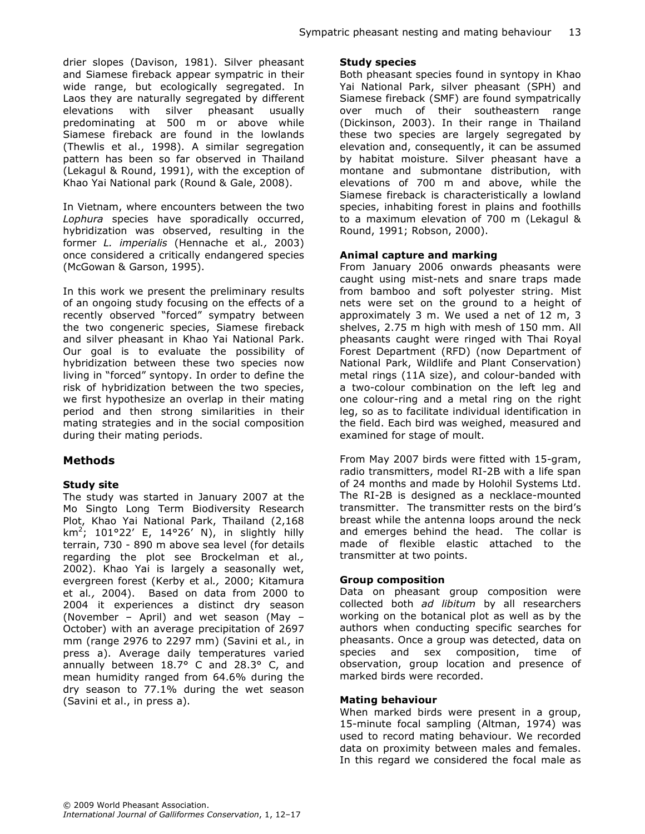drier slopes (Davison, 1981). Silver pheasant and Siamese fireback appear sympatric in their wide range, but ecologically segregated. In Laos they are naturally segregated by different elevations with silver pheasant usually predominating at 500 m or above while Siamese fireback are found in the lowlands (Thewlis et al., 1998). A similar segregation pattern has been so far observed in Thailand (Lekagul & Round, 1991), with the exception of Khao Yai National park (Round & Gale, 2008).

In Vietnam, where encounters between the two Lophura species have sporadically occurred, hybridization was observed, resulting in the former L. imperialis (Hennache et al., 2003) once considered a critically endangered species (McGowan & Garson, 1995).

In this work we present the preliminary results of an ongoing study focusing on the effects of a recently observed "forced" sympatry between the two congeneric species, Siamese fireback and silver pheasant in Khao Yai National Park. Our goal is to evaluate the possibility of hybridization between these two species now living in "forced" syntopy. In order to define the risk of hybridization between the two species, we first hypothesize an overlap in their mating period and then strong similarities in their mating strategies and in the social composition during their mating periods.

# Methods

#### Study site

The study was started in January 2007 at the Mo Singto Long Term Biodiversity Research Plot, Khao Yai National Park, Thailand (2,168 km<sup>2</sup>; 101°22' E, 14°26' N), in slightly hilly terrain, 730 - 890 m above sea level (for details regarding the plot see Brockelman et al., 2002). Khao Yai is largely a seasonally wet, evergreen forest (Kerby et al., 2000; Kitamura et al., 2004). Based on data from 2000 to 2004 it experiences a distinct dry season (November – April) and wet season (May – October) with an average precipitation of 2697 mm (range 2976 to 2297 mm) (Savini et al., in press a). Average daily temperatures varied annually between 18.7° C and 28.3° C, and mean humidity ranged from 64.6% during the dry season to 77.1% during the wet season (Savini et al., in press a).

#### Study species

Both pheasant species found in syntopy in Khao Yai National Park, silver pheasant (SPH) and Siamese fireback (SMF) are found sympatrically over much of their southeastern range (Dickinson, 2003). In their range in Thailand these two species are largely segregated by elevation and, consequently, it can be assumed by habitat moisture. Silver pheasant have a montane and submontane distribution, with elevations of 700 m and above, while the Siamese fireback is characteristically a lowland species, inhabiting forest in plains and foothills to a maximum elevation of 700 m (Lekagul & Round, 1991; Robson, 2000).

#### Animal capture and marking

From January 2006 onwards pheasants were caught using mist-nets and snare traps made from bamboo and soft polyester string. Mist nets were set on the ground to a height of approximately 3 m. We used a net of 12 m, 3 shelves, 2.75 m high with mesh of 150 mm. All pheasants caught were ringed with Thai Royal Forest Department (RFD) (now Department of National Park, Wildlife and Plant Conservation) metal rings (11A size), and colour-banded with a two-colour combination on the left leg and one colour-ring and a metal ring on the right leg, so as to facilitate individual identification in the field. Each bird was weighed, measured and examined for stage of moult.

From May 2007 birds were fitted with 15-gram, radio transmitters, model RI-2B with a life span of 24 months and made by Holohil Systems Ltd. The RI-2B is designed as a necklace-mounted transmitter. The transmitter rests on the bird's breast while the antenna loops around the neck and emerges behind the head. The collar is made of flexible elastic attached to the transmitter at two points.

#### Group composition

Data on pheasant group composition were collected both ad libitum by all researchers working on the botanical plot as well as by the authors when conducting specific searches for pheasants. Once a group was detected, data on species and sex composition, time of observation, group location and presence of marked birds were recorded.

#### Mating behaviour

When marked birds were present in a group, 15-minute focal sampling (Altman, 1974) was used to record mating behaviour. We recorded data on proximity between males and females. In this regard we considered the focal male as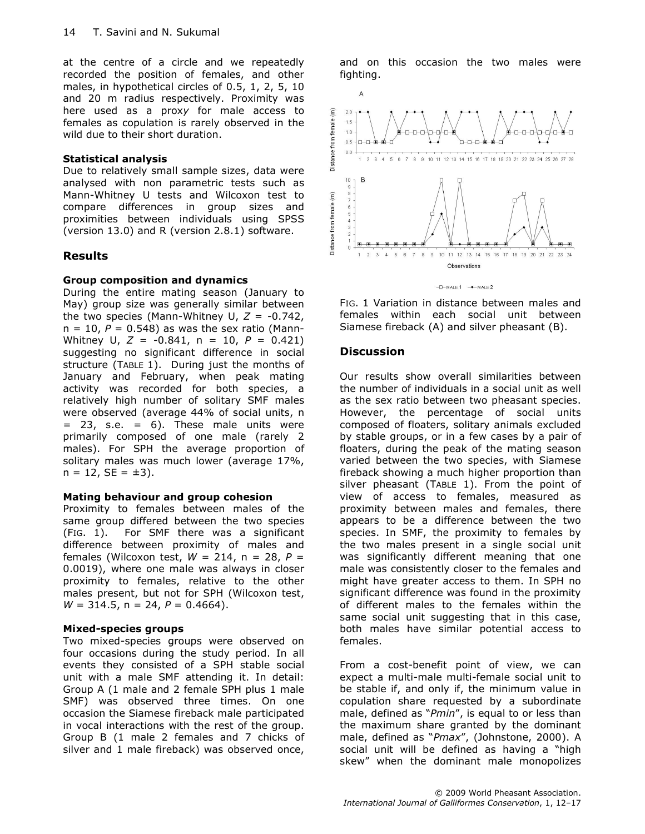at the centre of a circle and we repeatedly recorded the position of females, and other males, in hypothetical circles of 0.5, 1, 2, 5, 10 and 20 m radius respectively. Proximity was here used as a proxy for male access to females as copulation is rarely observed in the wild due to their short duration.

#### Statistical analysis

Due to relatively small sample sizes, data were analysed with non parametric tests such as Mann-Whitney U tests and Wilcoxon test to compare differences in group sizes and proximities between individuals using SPSS (version 13.0) and R (version 2.8.1) software.

#### Results

#### Group composition and dynamics

During the entire mating season (January to May) group size was generally similar between the two species (Mann-Whitney U,  $Z = -0.742$ ,  $n = 10$ ,  $P = 0.548$ ) as was the sex ratio (Mann-Whitney U,  $Z = -0.841$ ,  $n = 10$ ,  $P = 0.421$ ) suggesting no significant difference in social structure (TABLE 1). During just the months of January and February, when peak mating activity was recorded for both species, a relatively high number of solitary SMF males were observed (average 44% of social units, n  $=$  23, s.e.  $=$  6). These male units were primarily composed of one male (rarely 2 males). For SPH the average proportion of solitary males was much lower (average 17%,  $n = 12$ ,  $SE = \pm 3$ ).

#### Mating behaviour and group cohesion

Proximity to females between males of the same group differed between the two species (FIG. 1). For SMF there was a significant difference between proximity of males and females (Wilcoxon test,  $W = 214$ , n = 28, P = 0.0019), where one male was always in closer proximity to females, relative to the other males present, but not for SPH (Wilcoxon test,  $W = 314.5$ , n = 24,  $P = 0.4664$ ).

#### Mixed-species groups

Two mixed-species groups were observed on four occasions during the study period. In all events they consisted of a SPH stable social unit with a male SMF attending it. In detail: Group A (1 male and 2 female SPH plus 1 male SMF) was observed three times. On one occasion the Siamese fireback male participated in vocal interactions with the rest of the group. Group B (1 male 2 females and 7 chicks of silver and 1 male fireback) was observed once,

and on this occasion the two males were fighting.



FIG. 1 Variation in distance between males and females within each social unit between Siamese fireback (A) and silver pheasant (B).

#### **Discussion**

Our results show overall similarities between the number of individuals in a social unit as well as the sex ratio between two pheasant species. However, the percentage of social units composed of floaters, solitary animals excluded by stable groups, or in a few cases by a pair of floaters, during the peak of the mating season varied between the two species, with Siamese fireback showing a much higher proportion than silver pheasant (TABLE 1). From the point of view of access to females, measured as proximity between males and females, there appears to be a difference between the two species. In SMF, the proximity to females by the two males present in a single social unit was significantly different meaning that one male was consistently closer to the females and might have greater access to them. In SPH no significant difference was found in the proximity of different males to the females within the same social unit suggesting that in this case, both males have similar potential access to females.

From a cost-benefit point of view, we can expect a multi-male multi-female social unit to be stable if, and only if, the minimum value in copulation share requested by a subordinate male, defined as "Pmin", is equal to or less than the maximum share granted by the dominant male, defined as "Pmax", (Johnstone, 2000). A social unit will be defined as having a "high skew" when the dominant male monopolizes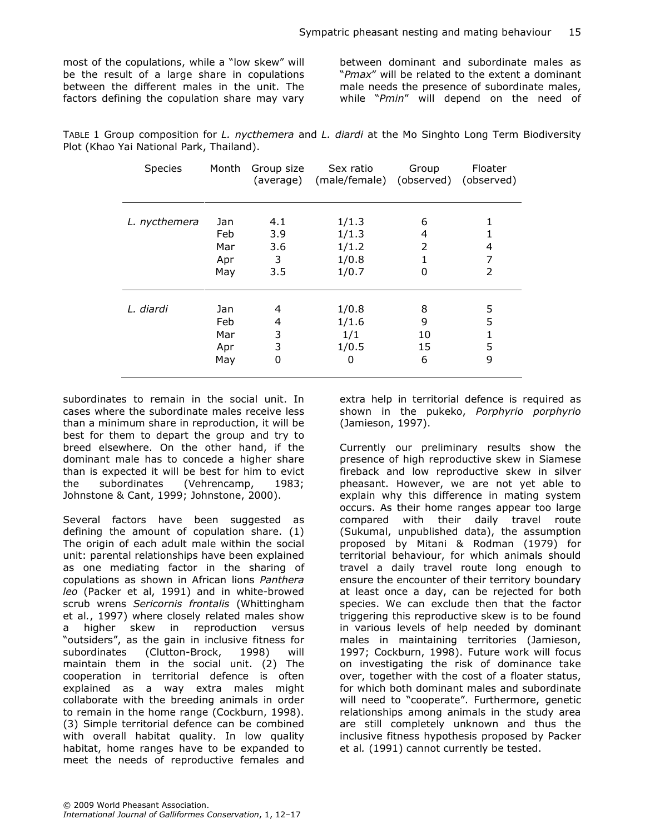most of the copulations, while a "low skew" will be the result of a large share in copulations between the different males in the unit. The factors defining the copulation share may vary between dominant and subordinate males as "Pmax" will be related to the extent a dominant male needs the presence of subordinate males, while "Pmin" will depend on the need of

| TABLE 1 Group composition for L. nycthemera and L. diardi at the Mo Singhto Long Term Biodiversity |  |  |  |  |  |
|----------------------------------------------------------------------------------------------------|--|--|--|--|--|
| Plot (Khao Yai National Park, Thailand).                                                           |  |  |  |  |  |

| Species       | Month | Group size<br>(average) | Sex ratio<br>(male/female) (observed) (observed) | Group          | Floater |
|---------------|-------|-------------------------|--------------------------------------------------|----------------|---------|
| L. nycthemera | Jan   | 4.1                     | 1/1.3                                            | 6              |         |
|               | Feb   | 3.9                     | 1/1.3                                            | 4              |         |
|               | Mar   | 3.6                     | 1/1.2                                            | $\overline{2}$ | 4       |
|               | Apr   | 3                       | 1/0.8                                            |                | 7       |
|               | May   | 3.5                     | 1/0.7                                            | 0              | 2       |
| L. diardi     | Jan   | 4                       | 1/0.8                                            | 8              | 5       |
|               | Feb   | 4                       | 1/1.6                                            | 9              | 5       |
|               | Mar   | 3                       | 1/1                                              | 10             | 1       |
|               | Apr   | 3                       | 1/0.5                                            | 15             | 5       |
|               | May   | 0                       | 0                                                | 6              | 9       |

subordinates to remain in the social unit. In cases where the subordinate males receive less than a minimum share in reproduction, it will be best for them to depart the group and try to breed elsewhere. On the other hand, if the dominant male has to concede a higher share than is expected it will be best for him to evict the subordinates (Vehrencamp, 1983; Johnstone & Cant, 1999; Johnstone, 2000).

Several factors have been suggested as defining the amount of copulation share. (1) The origin of each adult male within the social unit: parental relationships have been explained as one mediating factor in the sharing of copulations as shown in African lions Panthera leo (Packer et al, 1991) and in white-browed scrub wrens Sericornis frontalis (Whittingham et al., 1997) where closely related males show a higher skew in reproduction versus "outsiders", as the gain in inclusive fitness for subordinates (Clutton-Brock, 1998) will maintain them in the social unit. (2) The cooperation in territorial defence is often explained as a way extra males might collaborate with the breeding animals in order to remain in the home range (Cockburn, 1998). (3) Simple territorial defence can be combined with overall habitat quality. In low quality habitat, home ranges have to be expanded to meet the needs of reproductive females and

extra help in territorial defence is required as shown in the pukeko, Porphyrio porphyrio (Jamieson, 1997).

Currently our preliminary results show the presence of high reproductive skew in Siamese fireback and low reproductive skew in silver pheasant. However, we are not yet able to explain why this difference in mating system occurs. As their home ranges appear too large compared with their daily travel route (Sukumal, unpublished data), the assumption proposed by Mitani & Rodman (1979) for territorial behaviour, for which animals should travel a daily travel route long enough to ensure the encounter of their territory boundary at least once a day, can be rejected for both species. We can exclude then that the factor triggering this reproductive skew is to be found in various levels of help needed by dominant males in maintaining territories (Jamieson, 1997; Cockburn, 1998). Future work will focus on investigating the risk of dominance take over, together with the cost of a floater status, for which both dominant males and subordinate will need to "cooperate". Furthermore, genetic relationships among animals in the study area are still completely unknown and thus the inclusive fitness hypothesis proposed by Packer et al. (1991) cannot currently be tested.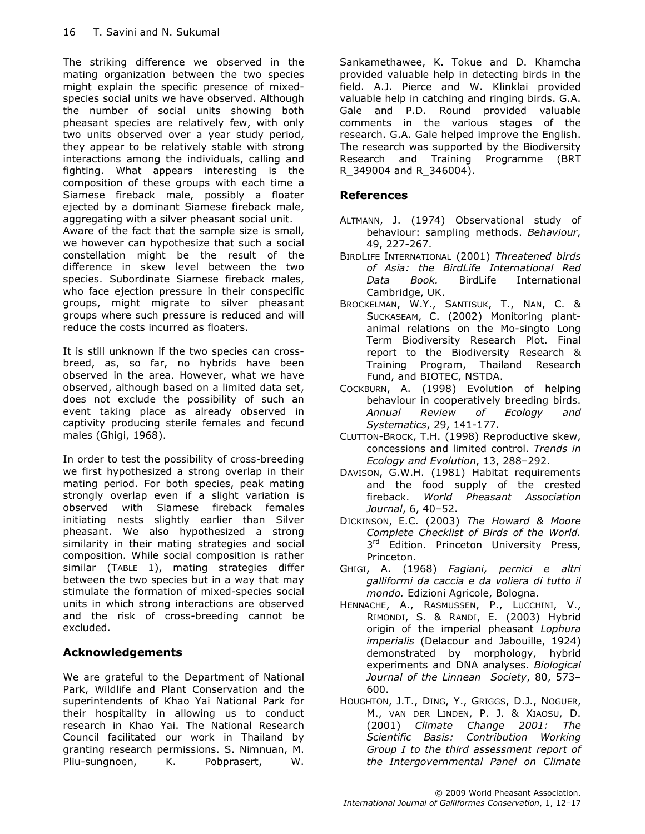The striking difference we observed in the mating organization between the two species might explain the specific presence of mixedspecies social units we have observed. Although the number of social units showing both pheasant species are relatively few, with only two units observed over a year study period, they appear to be relatively stable with strong interactions among the individuals, calling and fighting. What appears interesting is the composition of these groups with each time a Siamese fireback male, possibly a floater ejected by a dominant Siamese fireback male, aggregating with a silver pheasant social unit.

Aware of the fact that the sample size is small, we however can hypothesize that such a social constellation might be the result of the difference in skew level between the two species. Subordinate Siamese fireback males, who face ejection pressure in their conspecific groups, might migrate to silver pheasant groups where such pressure is reduced and will reduce the costs incurred as floaters.

It is still unknown if the two species can crossbreed, as, so far, no hybrids have been observed in the area. However, what we have observed, although based on a limited data set, does not exclude the possibility of such an event taking place as already observed in captivity producing sterile females and fecund males (Ghigi, 1968).

In order to test the possibility of cross-breeding we first hypothesized a strong overlap in their mating period. For both species, peak mating strongly overlap even if a slight variation is observed with Siamese fireback females initiating nests slightly earlier than Silver pheasant. We also hypothesized a strong similarity in their mating strategies and social composition. While social composition is rather similar (TABLE 1), mating strategies differ between the two species but in a way that may stimulate the formation of mixed-species social units in which strong interactions are observed and the risk of cross-breeding cannot be excluded.

# Acknowledgements

We are grateful to the Department of National Park, Wildlife and Plant Conservation and the superintendents of Khao Yai National Park for their hospitality in allowing us to conduct research in Khao Yai. The National Research Council facilitated our work in Thailand by granting research permissions. S. Nimnuan, M. Pliu-sungnoen, K. Pobprasert, W.

Sankamethawee, K. Tokue and D. Khamcha provided valuable help in detecting birds in the field. A.J. Pierce and W. Klinklai provided valuable help in catching and ringing birds. G.A. Gale and P.D. Round provided valuable comments in the various stages of the research. G.A. Gale helped improve the English. The research was supported by the Biodiversity Research and Training Programme (BRT R\_349004 and R\_346004).

# References

- ALTMANN, J. (1974) Observational study of behaviour: sampling methods. Behaviour, 49, 227-267.
- BIRDLIFE INTERNATIONAL (2001) Threatened birds of Asia: the BirdLife International Red Data Book. BirdLife International Cambridge, UK.
- BROCKELMAN, W.Y., SANTISUK, T., NAN, C. & SUCKASEAM, C. (2002) Monitoring plantanimal relations on the Mo-singto Long Term Biodiversity Research Plot. Final report to the Biodiversity Research & Training Program, Thailand Research Fund, and BIOTEC, NSTDA.
- COCKBURN, A. (1998) Evolution of helping behaviour in cooperatively breeding birds. Annual Review of Ecology and Systematics, 29, 141-177.
- CLUTTON-BROCK, T.H. (1998) Reproductive skew, concessions and limited control. Trends in Ecology and Evolution, 13, 288–292.
- DAVISON, G.W.H. (1981) Habitat requirements and the food supply of the crested fireback. World Pheasant Association Journal, 6, 40–52.
- DICKINSON, E.C. (2003) The Howard & Moore Complete Checklist of Birds of the World. 3<sup>rd</sup> Edition. Princeton University Press, Princeton.
- GHIGI, A. (1968) Fagiani, pernici e altri galliformi da caccia e da voliera di tutto il mondo. Edizioni Agricole, Bologna.
- HENNACHE, A., RASMUSSEN, P., LUCCHINI, V., RIMONDI, S. & RANDI, E. (2003) Hybrid origin of the imperial pheasant Lophura imperialis (Delacour and Jabouille, 1924) demonstrated by morphology, hybrid experiments and DNA analyses. Biological Journal of the Linnean Society, 80, 573– 600.
- HOUGHTON, J.T., DING, Y., GRIGGS, D.J., NOGUER, M., VAN DER LINDEN, P. J. & XIAOSU, D. (2001) Climate Change 2001: The Scientific Basis: Contribution Working Group I to the third assessment report of the Intergovernmental Panel on Climate